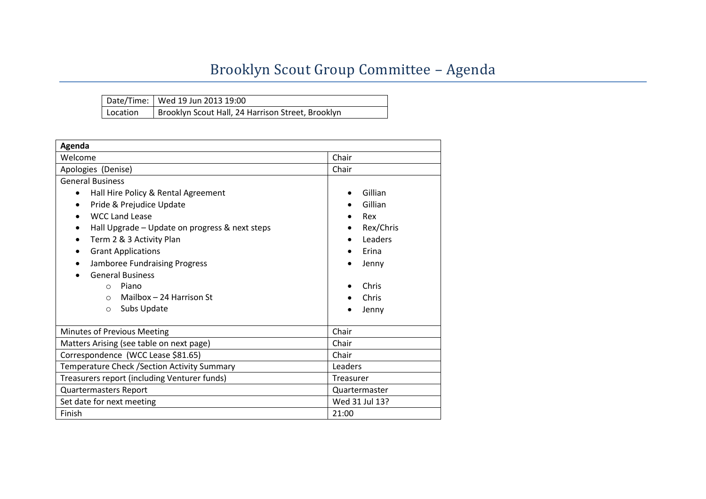## Brooklyn Scout Group Committee – Agenda

|          | Date/Time: Wed 19 Jun 2013 19:00                  |
|----------|---------------------------------------------------|
| Location | Brooklyn Scout Hall, 24 Harrison Street, Brooklyn |

| Agenda                                                      |                      |  |  |  |  |  |
|-------------------------------------------------------------|----------------------|--|--|--|--|--|
| Welcome                                                     | Chair                |  |  |  |  |  |
| Apologies (Denise)                                          | Chair                |  |  |  |  |  |
| <b>General Business</b>                                     |                      |  |  |  |  |  |
| Hall Hire Policy & Rental Agreement<br>$\bullet$            | Gillian<br>$\bullet$ |  |  |  |  |  |
| Pride & Prejudice Update<br>$\bullet$                       | Gillian              |  |  |  |  |  |
| <b>WCC Land Lease</b>                                       | Rex                  |  |  |  |  |  |
| Hall Upgrade - Update on progress & next steps<br>$\bullet$ | Rex/Chris            |  |  |  |  |  |
| Term 2 & 3 Activity Plan<br>$\bullet$                       | Leaders              |  |  |  |  |  |
| <b>Grant Applications</b>                                   | Erina                |  |  |  |  |  |
| Jamboree Fundraising Progress                               | Jenny                |  |  |  |  |  |
| <b>General Business</b>                                     |                      |  |  |  |  |  |
| Piano<br>$\Omega$                                           | Chris                |  |  |  |  |  |
| Mailbox - 24 Harrison St<br>$\circ$                         | Chris                |  |  |  |  |  |
| Subs Update<br>$\Omega$                                     | Jenny                |  |  |  |  |  |
|                                                             |                      |  |  |  |  |  |
| Minutes of Previous Meeting                                 | Chair                |  |  |  |  |  |
| Matters Arising (see table on next page)                    | Chair                |  |  |  |  |  |
| Correspondence (WCC Lease \$81.65)                          | Chair                |  |  |  |  |  |
| Temperature Check / Section Activity Summary                | Leaders              |  |  |  |  |  |
| Treasurers report (including Venturer funds)                | Treasurer            |  |  |  |  |  |
| <b>Quartermasters Report</b>                                | Quartermaster        |  |  |  |  |  |
| Set date for next meeting                                   | Wed 31 Jul 13?       |  |  |  |  |  |
| Finish                                                      | 21:00                |  |  |  |  |  |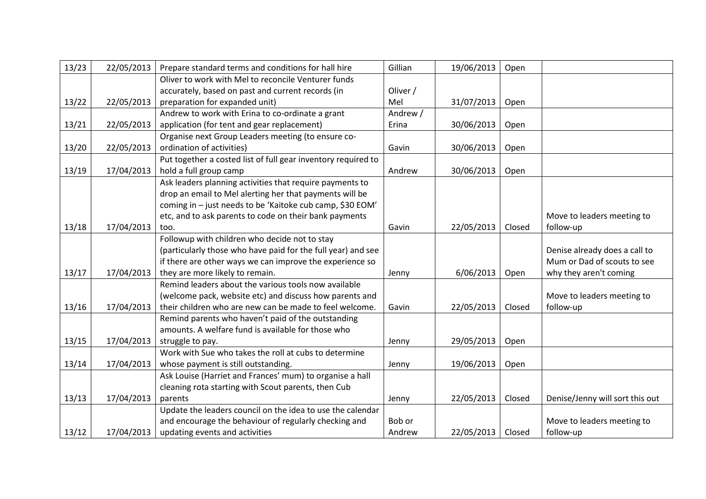| 13/23 | 22/05/2013 | Prepare standard terms and conditions for hall hire           | Gillian  | 19/06/2013 | Open   |                                 |
|-------|------------|---------------------------------------------------------------|----------|------------|--------|---------------------------------|
|       |            | Oliver to work with Mel to reconcile Venturer funds           |          |            |        |                                 |
|       |            | accurately, based on past and current records (in             | Oliver / |            |        |                                 |
| 13/22 | 22/05/2013 | preparation for expanded unit)                                | Mel      | 31/07/2013 | Open   |                                 |
|       |            | Andrew to work with Erina to co-ordinate a grant              | Andrew / |            |        |                                 |
| 13/21 | 22/05/2013 | application (for tent and gear replacement)                   | Erina    | 30/06/2013 | Open   |                                 |
|       |            | Organise next Group Leaders meeting (to ensure co-            |          |            |        |                                 |
| 13/20 | 22/05/2013 | ordination of activities)                                     | Gavin    | 30/06/2013 | Open   |                                 |
|       |            | Put together a costed list of full gear inventory required to |          |            |        |                                 |
| 13/19 | 17/04/2013 | hold a full group camp                                        | Andrew   | 30/06/2013 | Open   |                                 |
|       |            | Ask leaders planning activities that require payments to      |          |            |        |                                 |
|       |            | drop an email to Mel alerting her that payments will be       |          |            |        |                                 |
|       |            | coming in - just needs to be 'Kaitoke cub camp, \$30 EOM'     |          |            |        |                                 |
|       |            | etc, and to ask parents to code on their bank payments        |          |            |        | Move to leaders meeting to      |
| 13/18 | 17/04/2013 | too.                                                          | Gavin    | 22/05/2013 | Closed | follow-up                       |
|       |            | Followup with children who decide not to stay                 |          |            |        |                                 |
|       |            | (particularly those who have paid for the full year) and see  |          |            |        | Denise already does a call to   |
|       |            | if there are other ways we can improve the experience so      |          |            |        | Mum or Dad of scouts to see     |
| 13/17 | 17/04/2013 | they are more likely to remain.                               | Jenny    | 6/06/2013  | Open   | why they aren't coming          |
|       |            | Remind leaders about the various tools now available          |          |            |        |                                 |
|       |            | (welcome pack, website etc) and discuss how parents and       |          |            |        | Move to leaders meeting to      |
| 13/16 | 17/04/2013 | their children who are new can be made to feel welcome.       | Gavin    | 22/05/2013 | Closed | follow-up                       |
|       |            | Remind parents who haven't paid of the outstanding            |          |            |        |                                 |
|       |            | amounts. A welfare fund is available for those who            |          |            |        |                                 |
| 13/15 | 17/04/2013 | struggle to pay.                                              | Jenny    | 29/05/2013 | Open   |                                 |
|       |            | Work with Sue who takes the roll at cubs to determine         |          |            |        |                                 |
| 13/14 | 17/04/2013 | whose payment is still outstanding.                           | Jenny    | 19/06/2013 | Open   |                                 |
|       |            | Ask Louise (Harriet and Frances' mum) to organise a hall      |          |            |        |                                 |
|       |            | cleaning rota starting with Scout parents, then Cub           |          |            |        |                                 |
| 13/13 | 17/04/2013 | parents                                                       | Jenny    | 22/05/2013 | Closed | Denise/Jenny will sort this out |
|       |            | Update the leaders council on the idea to use the calendar    |          |            |        |                                 |
|       |            | and encourage the behaviour of regularly checking and         | Bob or   |            |        | Move to leaders meeting to      |
| 13/12 | 17/04/2013 | updating events and activities                                | Andrew   | 22/05/2013 | Closed | follow-up                       |